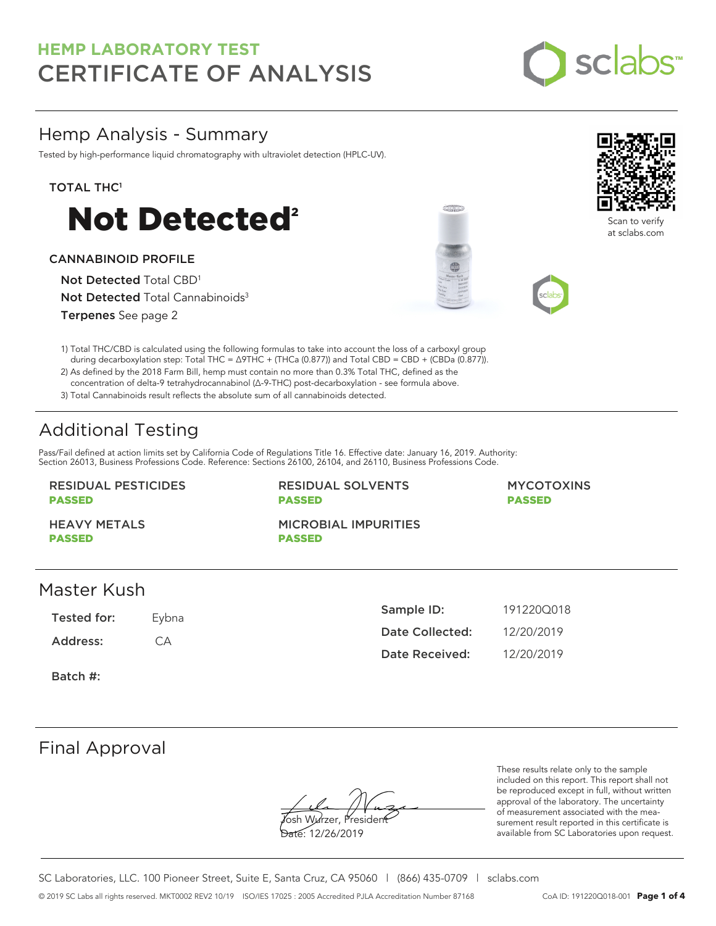

Scan to verify at sclabs.com

## Hemp Analysis - Summary

Tested by high-performance liquid chromatography with ultraviolet detection (HPLC-UV).

### TOTAL THC<sup>1</sup>



### CANNABINOID PROFILE

Not Detected Total CBD<sup>1</sup> Not Detected Total Cannabinoids<sup>3</sup>

Terpenes See page 2

1) Total THC/CBD is calculated using the following formulas to take into account the loss of a carboxyl group during decarboxylation step: Total THC = ∆9THC + (THCa (0.877)) and Total CBD = CBD + (CBDa (0.877)).

2) As defined by the 2018 Farm Bill, hemp must contain no more than 0.3% Total THC, defined as the concentration of delta-9 tetrahydrocannabinol (Δ-9-THC) post-decarboxylation - see formula above.

3) Total Cannabinoids result reflects the absolute sum of all cannabinoids detected.

# Additional Testing

Pass/Fail defined at action limits set by California Code of Regulations Title 16. Effective date: January 16, 2019. Authority: Section 26013, Business Professions Code. Reference: Sections 26100, 26104, and 26110, Business Professions Code.

### RESIDUAL PESTICIDES PASSED

RESIDUAL SOLVENTS PASSED

### MYCOTOXINS PASSED

HEAVY METALS PASSED

MICROBIAL IMPURITIES PASSED

## Master Kush

Tested for: Eybna

Address: CA

| Sample ID:            | 1912200018 |
|-----------------------|------------|
| Date Collected:       | 12/20/2019 |
| <b>Date Received:</b> | 12/20/2019 |

Batch #:

## Final Approval

Yosh Wurzer, Presider

Date: 12/26/2019

These results relate only to the sample included on this report. This report shall not be reproduced except in full, without written approval of the laboratory. The uncertainty of measurement associated with the measurement result reported in this certificate is available from SC Laboratories upon request.

SC Laboratories, LLC. 100 Pioneer Street, Suite E, Santa Cruz, CA 95060 | (866) 435-0709 | sclabs.com © 2019 SC Labs all rights reserved. MKT0002 REV2 10/19 ISO/IES 17025 : 2005 Accredited PJLA Accreditation Number 87168 CoA ID: 191220Q018-001 **Page 1 of 4**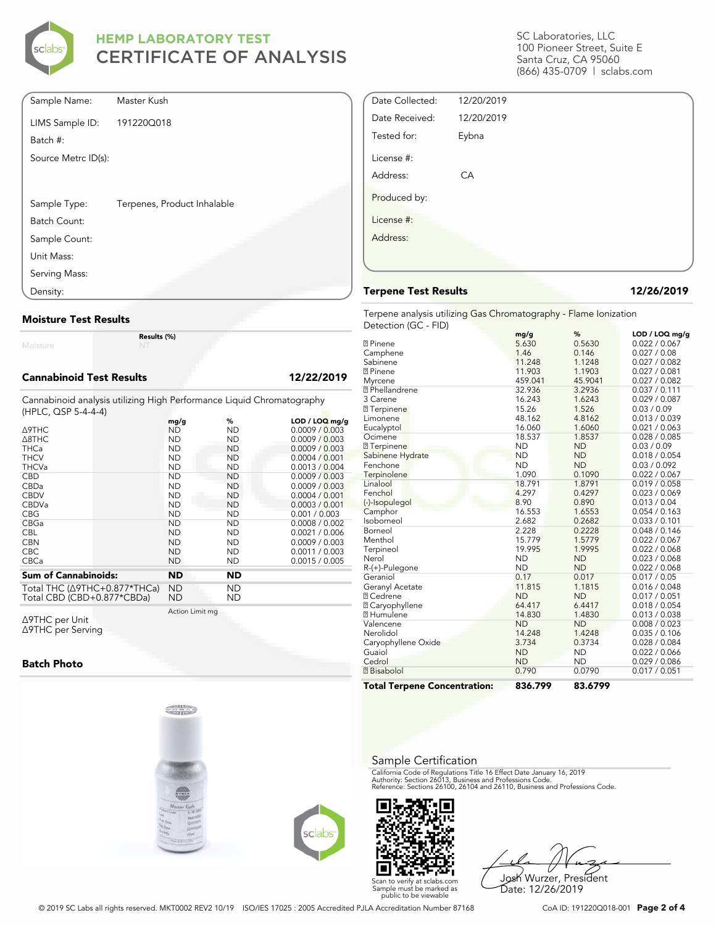

| Sample Name:        | Master Kush                 |  |
|---------------------|-----------------------------|--|
| LIMS Sample ID:     | 191220Q018                  |  |
| Batch #:            |                             |  |
| Source Metrc ID(s): |                             |  |
|                     |                             |  |
| Sample Type:        | Terpenes, Product Inhalable |  |
| Batch Count:        |                             |  |
| Sample Count:       |                             |  |
| Unit Mass:          |                             |  |
| Serving Mass:       |                             |  |
| Density:            |                             |  |

### **Moisture Test Results**

Moisture

**Results (%)**

### **Cannabinoid Test Results 12/22/2019**

Cannabinoid analysis utilizing High Performance Liquid Chromatography (HPLC, QSP 5-4-4-4)

| <b>A9THC</b>                             | mg/g      | %         | LOD / LOQ mq/q<br>0.0009 / 0.003 |
|------------------------------------------|-----------|-----------|----------------------------------|
|                                          | ND        | ND        |                                  |
| $\triangle$ 8THC                         | <b>ND</b> | <b>ND</b> | 0.0009 / 0.003                   |
| <b>THCa</b>                              | <b>ND</b> | ND.       | 0.0009 / 0.003                   |
| <b>THCV</b>                              | <b>ND</b> | <b>ND</b> | 0.0004 / 0.001                   |
| <b>THCVa</b>                             | <b>ND</b> | <b>ND</b> | 0.0013 / 0.004                   |
| <b>CBD</b>                               | ND        | ND.       | 0.0009 / 0.003                   |
| CBDa                                     | <b>ND</b> | <b>ND</b> | 0.0009 / 0.003                   |
| <b>CBDV</b>                              | <b>ND</b> | <b>ND</b> | 0.0004 / 0.001                   |
| <b>CBDVa</b>                             | <b>ND</b> | <b>ND</b> | 0.0003 / 0.001                   |
| <b>CBG</b>                               | <b>ND</b> | ND        | 0.001 / 0.003                    |
| CBGa                                     | <b>ND</b> | <b>ND</b> | 0.0008 / 0.002                   |
| <b>CBL</b>                               | <b>ND</b> | ND        | 0.0021 / 0.006                   |
| <b>CBN</b>                               | <b>ND</b> | ND        | 0.0009 / 0.003                   |
| <b>CBC</b>                               | <b>ND</b> | <b>ND</b> | 0.0011 / 0.003                   |
| <b>CBCa</b>                              | <b>ND</b> | ND        | 0.0015 / 0.005                   |
| <b>Sum of Cannabinoids:</b>              | <b>ND</b> | <b>ND</b> |                                  |
| Total THC ( $\triangle$ 9THC+0.877*THCa) | <b>ND</b> | <b>ND</b> |                                  |
| Total CBD (CBD+0.877*CBDa)               | ND        | ND        |                                  |

Action Limit mg

Δ9THC per Unit Δ9THC per Serving

### **Batch Photo**







Josh Wurzer, President Date: 12/26/2019

SC Laboratories, LLC 100 Pioneer Street, Suite E Santa Cruz, CA 95060 (866) 435-0709 | sclabs.com

| Date Collected: | 12/20/2019 |  |
|-----------------|------------|--|
| Date Received:  | 12/20/2019 |  |
| Tested for:     | Eybna      |  |
| License #:      |            |  |
| Address:        | CA         |  |
| Produced by:    |            |  |
| License #:      |            |  |
| Address:        |            |  |
|                 |            |  |
|                 |            |  |

### **Terpene Test Results 12/26/2019**

Terpene analysis utilizing Gas Chromatography - Flame Ionization Detection (GC - FID)

| <b>Total Terpene Concentration:</b> | 836.799   | 83.6799   |                |
|-------------------------------------|-----------|-----------|----------------|
| <b>7</b> Bisabolol                  | 0.790     | 0.0790    | 0.017 / 0.051  |
| Cedrol                              | <b>ND</b> | <b>ND</b> | 0.029 / 0.086  |
| Guaiol                              | <b>ND</b> | <b>ND</b> | 0.022 / 0.066  |
| Caryophyllene Oxide                 | 3.734     | 0.3734    | 0.028 / 0.084  |
| Nerolidol                           | 14.248    | 1.4248    | 0.035 / 0.106  |
| Valencene                           | <b>ND</b> | <b>ND</b> | 0.008 / 0.023  |
| <b>7 Humulene</b>                   | 14.830    | 1.4830    | 0.013 / 0.038  |
| <b>☑ Caryophyllene</b>              | 64.417    | 6.4417    | 0.018 / 0.054  |
| <b>7 Cedrene</b>                    | <b>ND</b> | <b>ND</b> | 0.017 / 0.051  |
| Geranyl Acetate                     | 11.815    | 1.1815    | 0.016 / 0.048  |
| Geraniol                            | 0.17      | 0.017     | 0.017 / 0.05   |
| R-(+)-Pulegone                      | <b>ND</b> | <b>ND</b> | 0.022 / 0.068  |
| Nerol                               | <b>ND</b> | <b>ND</b> | 0.023 / 0.068  |
| Terpineol                           | 19.995    | 1.9995    | 0.022 / 0.068  |
| Menthol                             | 15.779    | 1.5779    | 0.022 / 0.067  |
| Borneol                             | 2.228     | 0.2228    | 0.048 / 0.146  |
| Isoborneol                          | 2.682     | 0.2682    | 0.033 / 0.101  |
| Camphor                             | 16.553    | 1.6553    | 0.054 / 0.163  |
| (-)-Isopulegol                      | 8.90      | 0.890     | 0.013 / 0.04   |
| Fenchol                             | 4.297     | 0.4297    | 0.023 / 0.069  |
| Linalool                            | 18.791    | 1.8791    | 0.019 / 0.058  |
| Terpinolene                         | 1.090     | 0.1090    | 0.022 / 0.067  |
| Fenchone                            | <b>ND</b> | <b>ND</b> | 0.03 / 0.092   |
| Sabinene Hydrate                    | <b>ND</b> | <b>ND</b> | 0.018 / 0.054  |
| <b>7</b> Terpinene                  | <b>ND</b> | <b>ND</b> | 0.03 / 0.09    |
| Ocimene                             | 18.537    | 1.8537    | 0.028 / 0.085  |
| Eucalyptol                          | 16.060    | 1.6060    | 0.021 / 0.063  |
| Limonene                            | 48.162    | 4.8162    | 0.013 / 0.039  |
| <b>7</b> Terpinene                  | 15.26     | 1.526     | 0.03 / 0.09    |
| 3 Carene                            | 16.243    | 1.6243    | 0.029 / 0.087  |
| <sup>2</sup> Phellandrene           | 32.936    | 3.2936    | 0.037 / 0.111  |
| Myrcene                             | 459.041   | 45.9041   | 0.027 / 0.082  |
| <b>7</b> Pinene                     | 11.903    | 1.1903    | 0.027 / 0.081  |
| Sabinene                            | 11.248    | 1.1248    | 0.027 / 0.082  |
| Camphene                            | 1.46      | 0.146     | 0.027 / 0.08   |
| <b>7</b> Pinene                     | 5.630     | 0.5630    | 0.022 / 0.067  |
|                                     | mg/g      | ℅         | LOD / LOQ mg/g |

### Sample Certification

California Code of Regulations Title 16 Effect Date January 16, 2019<br>Authority: Section 26013, Business and Professions Code.<br>Reference: Sections 26100, 26104 and 26110, Business and Professions Code.

Scan to verify at sclabs.com Sample must be marked as public to be viewable

© 2019 SC Labs all rights reserved. MKT0002 REV2 10/19 ISO/IES 17025 : 2005 Accredited PJLA Accreditation Number 87168 CoA ID: 191220Q018-001 **Page 2 of 4**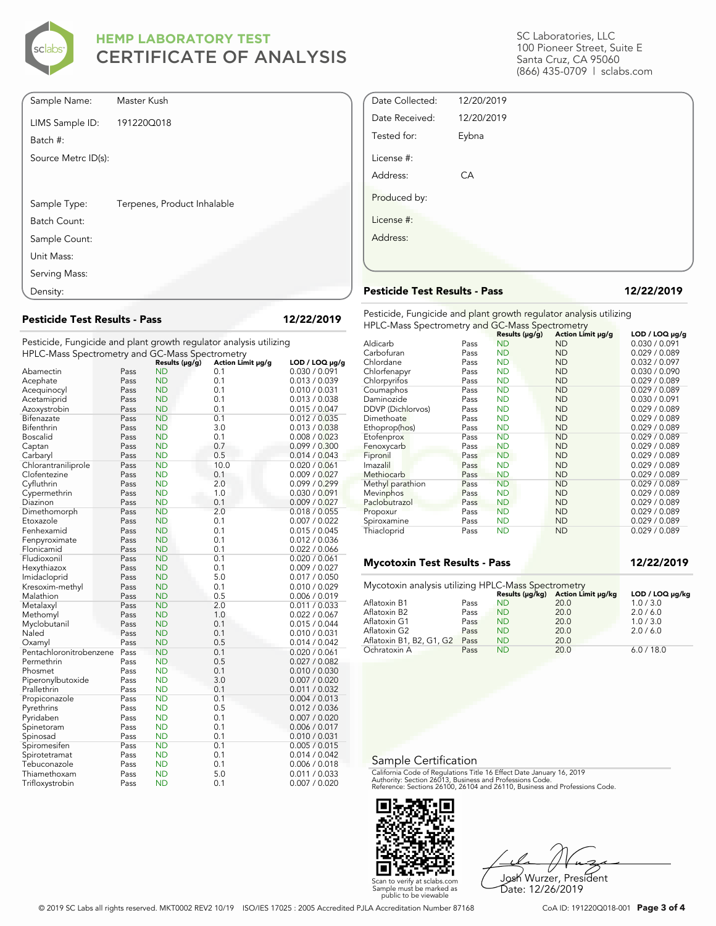

| Sample Name:        | Master Kush                 |
|---------------------|-----------------------------|
| LIMS Sample ID:     | 191220Q018                  |
| Batch #:            |                             |
| Source Metrc ID(s): |                             |
|                     |                             |
| Sample Type:        | Terpenes, Product Inhalable |
| Batch Count:        |                             |
| Sample Count:       |                             |
| Unit Mass:          |                             |
| Serving Mass:       |                             |
| Density:            |                             |

**Pesticide Test Results - Pass 12/22/2019**

Pesticide, Fungicide and plant growth regulator analysis utilizing

| HPLC-Mass Spectrometry and GC-Mass Spectrometry |      |                |                   |                     |
|-------------------------------------------------|------|----------------|-------------------|---------------------|
|                                                 |      | Results (µg/g) | Action Limit µg/g | $LOD / LOQ \mu g/g$ |
| Abamectin                                       | Pass | <b>ND</b>      | 0.1               | 0.030 / 0.091       |
| Acephate                                        | Pass | <b>ND</b>      | 0.1               | 0.013 / 0.039       |
| Acequinocyl                                     | Pass | <b>ND</b>      | 0.1               | 0.010 / 0.031       |
| Acetamiprid                                     | Pass | <b>ND</b>      | 0.1               | 0.013 / 0.038       |
| Azoxystrobin                                    | Pass | <b>ND</b>      | 0.1               | 0.015 / 0.047       |
| Bifenazate                                      | Pass | <b>ND</b>      | 0.1               | 0.012 / 0.035       |
| Bifenthrin                                      | Pass | <b>ND</b>      | 3.0               | 0.013 / 0.038       |
| <b>Boscalid</b>                                 | Pass | <b>ND</b>      | 0.1               | 0.008 / 0.023       |
| Captan                                          | Pass | <b>ND</b>      | 0.7               | 0.099 / 0.300       |
| Carbaryl                                        | Pass | <b>ND</b>      | 0.5               | 0.014 / 0.043       |
| Chlorantraniliprole                             | Pass | <b>ND</b>      | 10.0              | 0.020 / 0.061       |
| Clofentezine                                    | Pass | <b>ND</b>      | 0.1               | 0.009 / 0.027       |
| Cyfluthrin                                      | Pass | <b>ND</b>      | 2.0               | 0.099/0.299         |
| Cypermethrin                                    | Pass | <b>ND</b>      | 1.0               | 0.030 / 0.091       |
| Diazinon                                        | Pass | <b>ND</b>      | 0.1               | 0.009 / 0.027       |
| Dimethomorph                                    | Pass | <b>ND</b>      | 2.0               | 0.018 / 0.055       |
| Etoxazole                                       | Pass | <b>ND</b>      | 0.1               | 0.007 / 0.022       |
| Fenhexamid                                      | Pass | <b>ND</b>      | 0.1               | 0.015 / 0.045       |
| Fenpyroximate                                   | Pass | <b>ND</b>      | 0.1               | 0.012 / 0.036       |
| Flonicamid                                      | Pass | <b>ND</b>      | 0.1               | 0.022 / 0.066       |
| Fludioxonil                                     | Pass | <b>ND</b>      | 0.1               | 0.020 / 0.061       |
| Hexythiazox                                     | Pass | <b>ND</b>      | 0.1               | 0.009 / 0.027       |
| Imidacloprid                                    | Pass | <b>ND</b>      | 5.0               | 0.017 / 0.050       |
| Kresoxim-methyl                                 | Pass | <b>ND</b>      | 0.1               | 0.010 / 0.029       |
| Malathion                                       | Pass | <b>ND</b>      | 0.5               | 0.006 / 0.019       |
| Metalaxyl                                       | Pass | <b>ND</b>      | 2.0               | 0.011 / 0.033       |
| Methomyl                                        | Pass | <b>ND</b>      | 1.0               | 0.022 / 0.067       |
| Myclobutanil                                    | Pass | <b>ND</b>      | 0.1               | 0.015 / 0.044       |
| Naled                                           | Pass | <b>ND</b>      | 0.1               | 0.010 / 0.031       |
| Oxamyl                                          | Pass | <b>ND</b>      | 0.5               | 0.014 / 0.042       |
| Pentachloronitrobenzene                         | Pass | <b>ND</b>      | 0.1               | 0.020 / 0.061       |
| Permethrin                                      | Pass | <b>ND</b>      | 0.5               | 0.027 / 0.082       |
| Phosmet                                         | Pass | <b>ND</b>      | 0.1               | 0.010 / 0.030       |
| Piperonylbutoxide                               | Pass | <b>ND</b>      | 3.0               | 0.007 / 0.020       |
| Prallethrin                                     | Pass | <b>ND</b>      | 0.1               | 0.011 / 0.032       |
| Propiconazole                                   | Pass | <b>ND</b>      | 0.1               | 0.004 / 0.013       |
| Pyrethrins                                      | Pass | <b>ND</b>      | 0.5               | 0.012 / 0.036       |
| Pyridaben                                       | Pass | <b>ND</b>      | 0.1               | 0.007 / 0.020       |
| Spinetoram                                      | Pass | <b>ND</b>      | 0.1               | 0.006 / 0.017       |
| Spinosad                                        | Pass | <b>ND</b>      | 0.1               | 0.010 / 0.031       |
| Spiromesifen                                    | Pass | <b>ND</b>      | 0.1               | 0.005 / 0.015       |
| Spirotetramat                                   | Pass | <b>ND</b>      | 0.1               | 0.014 / 0.042       |
| Tebuconazole                                    | Pass | <b>ND</b>      | 0.1               | 0.006 / 0.018       |
| Thiamethoxam                                    | Pass | <b>ND</b>      | 5.0               | 0.011 / 0.033       |
| Trifloxystrobin                                 | Pass | <b>ND</b>      | 0.1               | 0.007 / 0.020       |

SC Laboratories, LLC 100 Pioneer Street, Suite E Santa Cruz, CA 95060 (866) 435-0709 | sclabs.com

| Date Collected: | 12/20/2019 |  |
|-----------------|------------|--|
| Date Received:  | 12/20/2019 |  |
| Tested for:     | Eybna      |  |
| License #:      |            |  |
| Address:        | CA         |  |
| Produced by:    |            |  |
| License #:      |            |  |
| Address:        |            |  |
|                 |            |  |
|                 |            |  |

### **Pesticide Test Results - Pass 12/22/2019**

Pesticide, Fungicide and plant growth regulator analysis utilizing HPLC-Mass Spectrometry and GC-Mass Spectrometry

|                   |      | Results (µg/g) | Action Limit µg/g | $LOD / LOQ \mu g/g$ |
|-------------------|------|----------------|-------------------|---------------------|
| Aldicarb          | Pass | <b>ND</b>      | <b>ND</b>         | 0.030 / 0.091       |
| Carbofuran        | Pass | <b>ND</b>      | <b>ND</b>         | 0.029 / 0.089       |
| Chlordane         | Pass | <b>ND</b>      | <b>ND</b>         | 0.032 / 0.097       |
| Chlorfenapyr      | Pass | <b>ND</b>      | <b>ND</b>         | 0.030 / 0.090       |
| Chlorpyrifos      | Pass | <b>ND</b>      | <b>ND</b>         | 0.029 / 0.089       |
| Coumaphos         | Pass | <b>ND</b>      | <b>ND</b>         | 0.029 / 0.089       |
| Daminozide        | Pass | <b>ND</b>      | <b>ND</b>         | 0.030 / 0.091       |
| DDVP (Dichlorvos) | Pass | ND             | ND                | 0.029 / 0.089       |
| Dimethoate        | Pass | <b>ND</b>      | <b>ND</b>         | 0.029 / 0.089       |
| Ethoprop(hos)     | Pass | <b>ND</b>      | <b>ND</b>         | 0.029 / 0.089       |
| Etofenprox        | Pass | <b>ND</b>      | <b>ND</b>         | 0.029 / 0.089       |
| Fenoxycarb        | Pass | <b>ND</b>      | <b>ND</b>         | 0.029 / 0.089       |
| Fipronil          | Pass | <b>ND</b>      | <b>ND</b>         | 0.029 / 0.089       |
| Imazalil          | Pass | ND             | <b>ND</b>         | 0.029 / 0.089       |
| Methiocarb        | Pass | <b>ND</b>      | <b>ND</b>         | 0.029 / 0.089       |
| Methyl parathion  | Pass | <b>ND</b>      | <b>ND</b>         | 0.029 / 0.089       |
| Mevinphos         | Pass | <b>ND</b>      | ND                | 0.029 / 0.089       |
| Paclobutrazol     | Pass | <b>ND</b>      | <b>ND</b>         | 0.029 / 0.089       |
| Propoxur          | Pass | <b>ND</b>      | <b>ND</b>         | 0.029 / 0.089       |
| Spiroxamine       | Pass | <b>ND</b>      | <b>ND</b>         | 0.029 / 0.089       |
| Thiacloprid       | Pass | <b>ND</b>      | <b>ND</b>         | 0.029 / 0.089       |

### **Mycotoxin Test Results - Pass 12/22/2019**

| Mycotoxin analysis utilizing HPLC-Mass Spectrometry |      |           |                                    |                 |
|-----------------------------------------------------|------|-----------|------------------------------------|-----------------|
|                                                     |      |           | Results (µg/kg) Action Limit µg/kg | LOD / LOQ µg/kg |
| Aflatoxin B1                                        | Pass | <b>ND</b> | 20.0                               | 1.0 / 3.0       |
| Aflatoxin B2                                        | Pass | <b>ND</b> | 20.0                               | 2.0/6.0         |
| Aflatoxin G1                                        | Pass | <b>ND</b> | 20.0                               | 1.0 / 3.0       |
| Aflatoxin G2                                        | Pass | <b>ND</b> | 20.0                               | 2.0 / 6.0       |
| Aflatoxin B1, B2, G1, G2                            | Pass | <b>ND</b> | 20.0                               |                 |
| Ochratoxin A                                        | Pass | <b>ND</b> | 20.0                               | 6.0 / 18.0      |

### Sample Certification

California Code of Regulations Title 16 Effect Date January 16, 2019<br>Authority: Section 26013, Business and Professions Code.<br>Reference: Sections 26100, 26104 and 26110, Business and Professions Code.



Josh Wurzer, President Date: 12/26/2019

© 2019 SC Labs all rights reserved. MKT0002 REV2 10/19 ISO/IES 17025 : 2005 Accredited PJLA Accreditation Number 87168 CoA ID: 191220Q018-001 **Page 3 of 4**